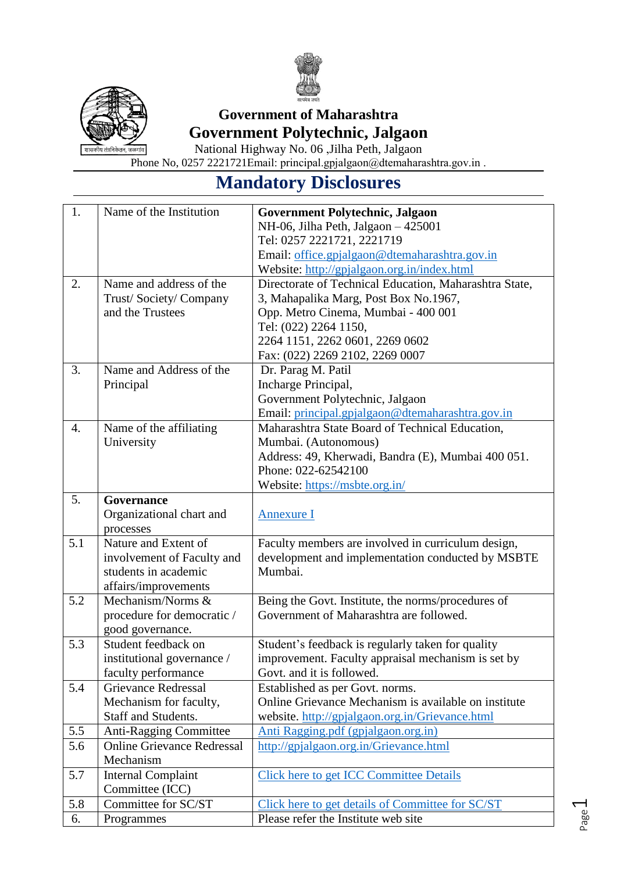



# **Government of Maharashtra Government Polytechnic, Jalgaon**

National Highway No. 06 ,Jilha Peth, Jalgaon Phone No, 0257 2221721Email: principal.gpjalgaon@dtemaharashtra.gov.in .

# **Mandatory Disclosures**

| 1.  | Name of the Institution           | Government Polytechnic, Jalgaon                        |
|-----|-----------------------------------|--------------------------------------------------------|
|     |                                   | NH-06, Jilha Peth, Jalgaon - 425001                    |
|     |                                   | Tel: 0257 2221721, 2221719                             |
|     |                                   | Email: office.gpjalgaon@dtemaharashtra.gov.in          |
|     |                                   | Website: http://gpjalgaon.org.in/index.html            |
| 2.  | Name and address of the           | Directorate of Technical Education, Maharashtra State, |
|     | Trust/Society/Company             | 3, Mahapalika Marg, Post Box No.1967,                  |
|     | and the Trustees                  | Opp. Metro Cinema, Mumbai - 400 001                    |
|     |                                   | Tel: (022) 2264 1150,                                  |
|     |                                   | 2264 1151, 2262 0601, 2269 0602                        |
|     |                                   | Fax: (022) 2269 2102, 2269 0007                        |
| 3.  | Name and Address of the           | Dr. Parag M. Patil                                     |
|     | Principal                         | Incharge Principal,                                    |
|     |                                   | Government Polytechnic, Jalgaon                        |
|     |                                   | Email: principal.gpjalgaon@dtemaharashtra.gov.in       |
| 4.  | Name of the affiliating           | Maharashtra State Board of Technical Education,        |
|     | University                        | Mumbai. (Autonomous)                                   |
|     |                                   | Address: 49, Kherwadi, Bandra (E), Mumbai 400 051.     |
|     |                                   | Phone: 022-62542100                                    |
|     |                                   | Website: https://msbte.org.in/                         |
| 5.  | Governance                        |                                                        |
|     | Organizational chart and          | <b>Annexure I</b>                                      |
|     | processes                         |                                                        |
| 5.1 | Nature and Extent of              | Faculty members are involved in curriculum design,     |
|     | involvement of Faculty and        | development and implementation conducted by MSBTE      |
|     | students in academic              | Mumbai.                                                |
|     | affairs/improvements              |                                                        |
| 5.2 | Mechanism/Norms &                 | Being the Govt. Institute, the norms/procedures of     |
|     | procedure for democratic /        | Government of Maharashtra are followed.                |
|     | good governance.                  |                                                        |
| 5.3 | Student feedback on               | Student's feedback is regularly taken for quality      |
|     | institutional governance /        | improvement. Faculty appraisal mechanism is set by     |
|     | faculty performance               | Govt. and it is followed.                              |
| 5.4 | <b>Grievance Redressal</b>        | Established as per Govt. norms.                        |
|     | Mechanism for faculty,            | Online Grievance Mechanism is available on institute   |
|     | Staff and Students.               | website. http://gpjalgaon.org.in/Grievance.html        |
| 5.5 | <b>Anti-Ragging Committee</b>     | Anti Ragging.pdf (gpjalgaon.org.in)                    |
| 5.6 | <b>Online Grievance Redressal</b> | http://gpjalgaon.org.in/Grievance.html                 |
|     | Mechanism                         |                                                        |
| 5.7 | <b>Internal Complaint</b>         | <b>Click here to get ICC Committee Details</b>         |
|     | Committee (ICC)                   |                                                        |
| 5.8 | Committee for SC/ST               | Click here to get details of Committee for SC/ST       |
| 6.  | Programmes                        | Please refer the Institute web site                    |

Page  $\overline{\phantom{0}}$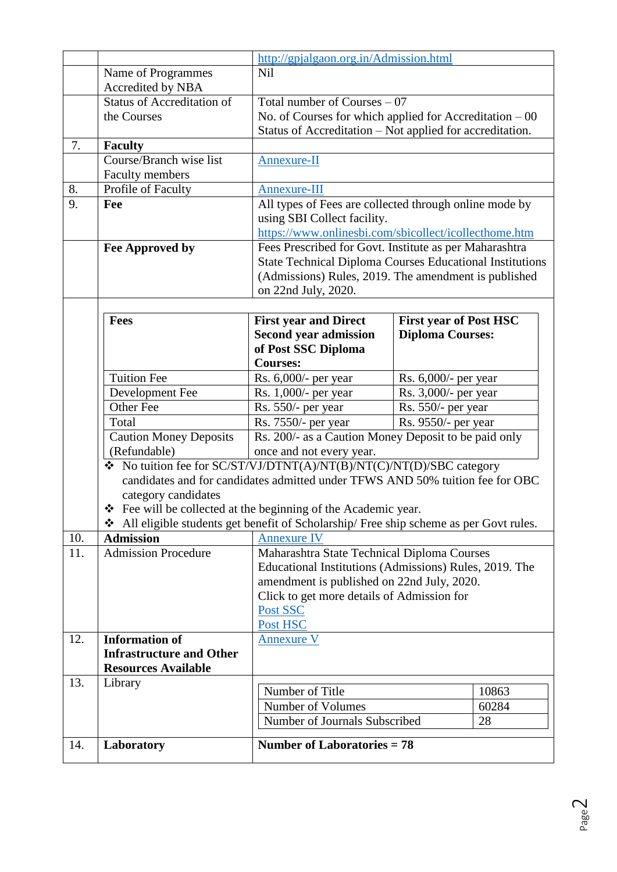|     |                                                                                       | http://gpjalgaon.org.in/Admission.html                                                |                               |       |  |  |  |  |
|-----|---------------------------------------------------------------------------------------|---------------------------------------------------------------------------------------|-------------------------------|-------|--|--|--|--|
|     | Name of Programmes                                                                    | Nil                                                                                   |                               |       |  |  |  |  |
|     | Accredited by NBA                                                                     |                                                                                       |                               |       |  |  |  |  |
|     | <b>Status of Accreditation of</b>                                                     | Total number of Courses $-07$                                                         |                               |       |  |  |  |  |
|     | the Courses                                                                           | No. of Courses for which applied for Accreditation $-00$                              |                               |       |  |  |  |  |
|     |                                                                                       | Status of Accreditation – Not applied for accreditation.                              |                               |       |  |  |  |  |
| 7.  | <b>Faculty</b>                                                                        |                                                                                       |                               |       |  |  |  |  |
|     | Course/Branch wise list                                                               | Annexure-II                                                                           |                               |       |  |  |  |  |
|     | Faculty members                                                                       |                                                                                       |                               |       |  |  |  |  |
| 8.  | Profile of Faculty                                                                    | Annexure-III                                                                          |                               |       |  |  |  |  |
| 9.  | Fee                                                                                   | All types of Fees are collected through online mode by<br>using SBI Collect facility. |                               |       |  |  |  |  |
|     |                                                                                       | https://www.onlinesbi.com/sbicollect/icollecthome.htm                                 |                               |       |  |  |  |  |
|     | Fee Approved by                                                                       | Fees Prescribed for Govt. Institute as per Maharashtra                                |                               |       |  |  |  |  |
|     |                                                                                       | <b>State Technical Diploma Courses Educational Institutions</b>                       |                               |       |  |  |  |  |
|     |                                                                                       | (Admissions) Rules, 2019. The amendment is published                                  |                               |       |  |  |  |  |
|     |                                                                                       | on 22nd July, 2020.                                                                   |                               |       |  |  |  |  |
|     |                                                                                       |                                                                                       |                               |       |  |  |  |  |
|     | <b>Fees</b>                                                                           | <b>First year and Direct</b>                                                          | <b>First year of Post HSC</b> |       |  |  |  |  |
|     |                                                                                       | <b>Second year admission</b>                                                          | <b>Diploma Courses:</b>       |       |  |  |  |  |
|     |                                                                                       | of Post SSC Diploma                                                                   |                               |       |  |  |  |  |
|     |                                                                                       | <b>Courses:</b>                                                                       |                               |       |  |  |  |  |
|     | <b>Tuition Fee</b>                                                                    | Rs. 6,000/- per year                                                                  | Rs. 6,000/- per year          |       |  |  |  |  |
|     | Development Fee                                                                       | Rs. 1,000/- per year                                                                  | Rs. 3,000/- per year          |       |  |  |  |  |
|     | Other Fee                                                                             | Rs. 550/- per year<br>Rs. 550/- per year                                              |                               |       |  |  |  |  |
|     | Total                                                                                 | Rs. 7550/- per year                                                                   | Rs. 9550/- per year           |       |  |  |  |  |
|     | <b>Caution Money Deposits</b>                                                         | Rs. 200/- as a Caution Money Deposit to be paid only                                  |                               |       |  |  |  |  |
|     | (Refundable)                                                                          | once and not every year.                                                              |                               |       |  |  |  |  |
|     | Vo tuition fee for SC/ST/VJ/DTNT(A)/NT(B)/NT(C)/NT(D)/SBC category                    | candidates and for candidates admitted under TFWS AND 50% tuition fee for OBC         |                               |       |  |  |  |  |
|     |                                                                                       |                                                                                       |                               |       |  |  |  |  |
|     | category candidates<br>❖ Fee will be collected at the beginning of the Academic year. |                                                                                       |                               |       |  |  |  |  |
|     | All eligible students get benefit of Scholarship/ Free ship scheme as per Govt rules. |                                                                                       |                               |       |  |  |  |  |
| 10. | <b>Admission</b>                                                                      | <b>Annexure IV</b>                                                                    |                               |       |  |  |  |  |
| 11. | <b>Admission Procedure</b>                                                            | Maharashtra State Technical Diploma Courses                                           |                               |       |  |  |  |  |
|     |                                                                                       | Educational Institutions (Admissions) Rules, 2019. The                                |                               |       |  |  |  |  |
|     |                                                                                       | amendment is published on 22nd July, 2020.                                            |                               |       |  |  |  |  |
|     |                                                                                       | Click to get more details of Admission for                                            |                               |       |  |  |  |  |
|     |                                                                                       | Post SSC                                                                              |                               |       |  |  |  |  |
|     |                                                                                       | Post HSC                                                                              |                               |       |  |  |  |  |
| 12. | <b>Information of</b>                                                                 | <b>Annexure V</b>                                                                     |                               |       |  |  |  |  |
|     | <b>Infrastructure and Other</b>                                                       |                                                                                       |                               |       |  |  |  |  |
|     | <b>Resources Available</b>                                                            |                                                                                       |                               |       |  |  |  |  |
| 13. | Library                                                                               |                                                                                       |                               |       |  |  |  |  |
|     |                                                                                       | Number of Title                                                                       |                               | 10863 |  |  |  |  |
|     |                                                                                       | Number of Volumes                                                                     |                               | 60284 |  |  |  |  |
|     |                                                                                       | Number of Journals Subscribed                                                         |                               | 28    |  |  |  |  |
| 14. | Laboratory                                                                            | <b>Number of Laboratories = 78</b>                                                    |                               |       |  |  |  |  |
|     |                                                                                       |                                                                                       |                               |       |  |  |  |  |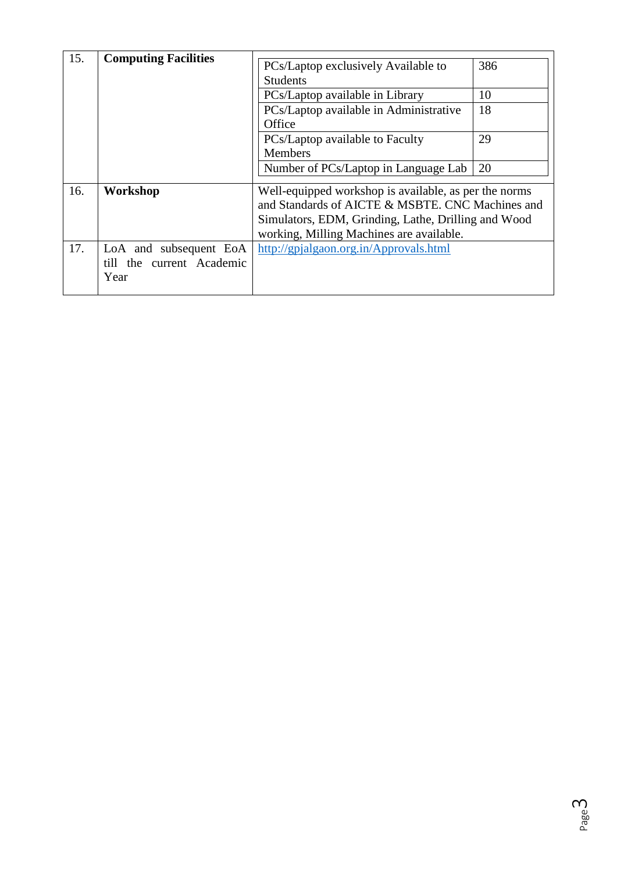| 15. | <b>Computing Facilities</b>                                 | PCs/Laptop exclusively Available to<br><b>Students</b><br>PCs/Laptop available in Library<br>PCs/Laptop available in Administrative<br>Office<br>PCs/Laptop available to Faculty<br><b>Members</b><br>Number of PCs/Laptop in Language Lab | 386<br>10<br>18<br>29<br>20 |
|-----|-------------------------------------------------------------|--------------------------------------------------------------------------------------------------------------------------------------------------------------------------------------------------------------------------------------------|-----------------------------|
| 16. | Workshop                                                    | Well-equipped workshop is available, as per the norms<br>and Standards of AICTE & MSBTE. CNC Machines and<br>Simulators, EDM, Grinding, Lathe, Drilling and Wood<br>working, Milling Machines are available.                               |                             |
| 17. | LoA and subsequent EoA<br>till the current Academic<br>Year | http://gpjalgaon.org.in/Approvals.html                                                                                                                                                                                                     |                             |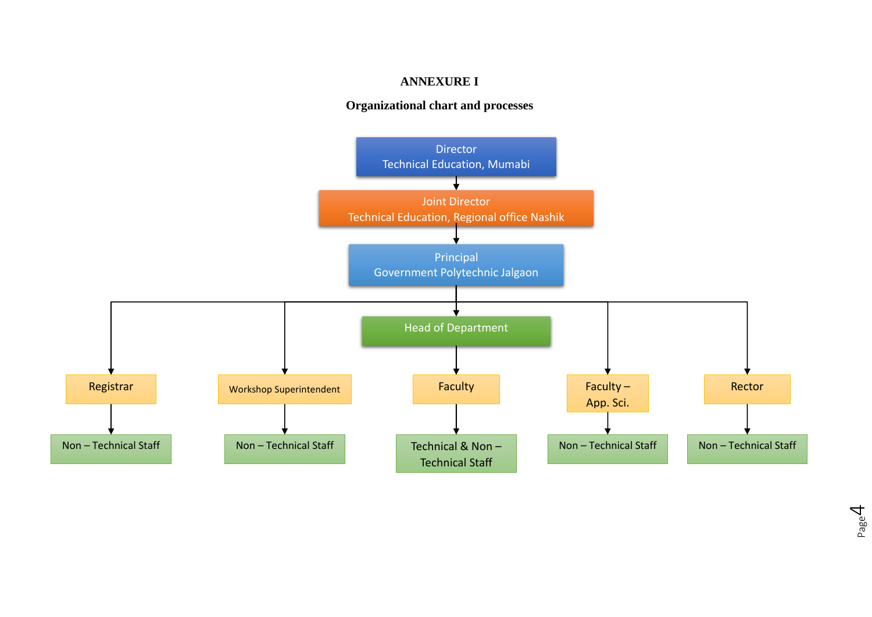#### **ANNEXURE I**

#### **Organizational chart and processes**

<span id="page-3-0"></span>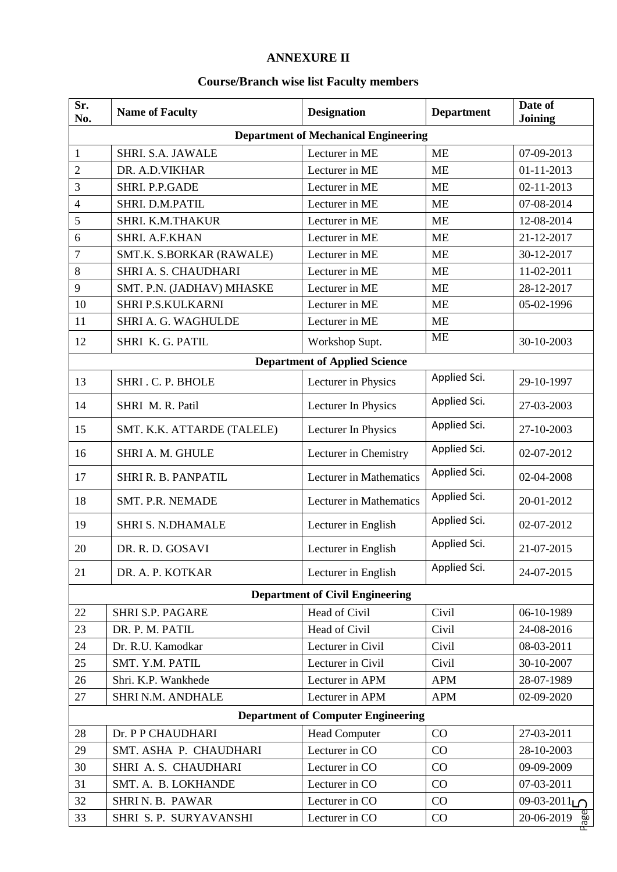## **ANNEXURE II**

# **Course/Branch wise list Faculty members**

<span id="page-4-0"></span>

| Sr.<br>No.     | <b>Name of Faculty</b>     | <b>Designation</b>                          | <b>Department</b> | Date of<br>Joining         |
|----------------|----------------------------|---------------------------------------------|-------------------|----------------------------|
|                |                            | <b>Department of Mechanical Engineering</b> |                   |                            |
| 1              | <b>SHRI. S.A. JAWALE</b>   | Lecturer in ME                              | <b>ME</b>         | 07-09-2013                 |
| $\overline{2}$ | DR. A.D.VIKHAR             | Lecturer in ME                              | <b>ME</b>         | $01-11-2013$               |
| 3              | SHRI. P.P.GADE             | Lecturer in ME                              | <b>ME</b>         | 02-11-2013                 |
| $\overline{4}$ | SHRI. D.M.PATIL            | Lecturer in ME                              | <b>ME</b>         | 07-08-2014                 |
| 5              | SHRI. K.M.THAKUR           | Lecturer in ME                              | <b>ME</b>         | 12-08-2014                 |
| 6              | SHRI. A.F.KHAN             | Lecturer in ME                              | <b>ME</b>         | 21-12-2017                 |
| $\overline{7}$ | SMT.K. S.BORKAR (RAWALE)   | Lecturer in ME                              | <b>ME</b>         | 30-12-2017                 |
| 8              | SHRI A. S. CHAUDHARI       | Lecturer in ME                              | <b>ME</b>         | 11-02-2011                 |
| 9              | SMT. P.N. (JADHAV) MHASKE  | Lecturer in ME                              | <b>ME</b>         | 28-12-2017                 |
| 10             | SHRI P.S.KULKARNI          | Lecturer in ME                              | <b>ME</b>         | 05-02-1996                 |
| 11             | SHRI A. G. WAGHULDE        | Lecturer in ME                              | <b>ME</b>         |                            |
| 12             | SHRI K. G. PATIL           | Workshop Supt.                              | <b>ME</b>         | 30-10-2003                 |
|                |                            | <b>Department of Applied Science</b>        |                   |                            |
| 13             | SHRI.C.P. BHOLE            | Lecturer in Physics                         | Applied Sci.      | 29-10-1997                 |
| 14             | SHRI M. R. Patil           | Lecturer In Physics                         | Applied Sci.      | 27-03-2003                 |
| 15             | SMT. K.K. ATTARDE (TALELE) | Lecturer In Physics                         | Applied Sci.      | 27-10-2003                 |
| 16             | SHRI A. M. GHULE           | Lecturer in Chemistry                       | Applied Sci.      | 02-07-2012                 |
| 17             | SHRI R. B. PANPATIL        | <b>Lecturer</b> in Mathematics              | Applied Sci.      | 02-04-2008                 |
| 18             | SMT. P.R. NEMADE           | Lecturer in Mathematics                     | Applied Sci.      | 20-01-2012                 |
| 19             | <b>SHRI S. N.DHAMALE</b>   | Lecturer in English                         | Applied Sci.      | 02-07-2012                 |
| 20             | DR. R. D. GOSAVI           | Lecturer in English                         | Applied Sci.      | 21-07-2015                 |
| 21             | DR. A. P. KOTKAR           | Lecturer in English                         | Applied Sci.      | 24-07-2015                 |
|                |                            | <b>Department of Civil Engineering</b>      |                   |                            |
| 22             | <b>SHRI S.P. PAGARE</b>    | Head of Civil                               | Civil             | 06-10-1989                 |
| 23             | DR. P. M. PATIL            | Head of Civil                               | Civil             | 24-08-2016                 |
| 24             | Dr. R.U. Kamodkar          | Lecturer in Civil                           | Civil             | 08-03-2011                 |
| 25             | SMT. Y.M. PATIL            | Lecturer in Civil                           | Civil             | 30-10-2007                 |
| 26             | Shri. K.P. Wankhede        | Lecturer in APM                             | <b>APM</b>        | 28-07-1989                 |
| 27             | SHRI N.M. ANDHALE          | Lecturer in APM                             | <b>APM</b>        | 02-09-2020                 |
|                |                            | <b>Department of Computer Engineering</b>   |                   |                            |
| 28             | Dr. P P CHAUDHARI          | <b>Head Computer</b>                        | CO                | 27-03-2011                 |
| 29             | SMT. ASHA P. CHAUDHARI     | Lecturer in CO                              | CO                | 28-10-2003                 |
| 30             | SHRI A. S. CHAUDHARI       | Lecturer in CO                              | CO                | 09-09-2009                 |
| 31             | SMT. A. B. LOKHANDE        | Lecturer in CO                              | CO                | 07-03-2011                 |
| 32             | SHRIN. B. PAWAR            | Lecturer in CO                              | CO                | $09-03-2011$               |
| 33             | SHRI S. P. SURYAVANSHI     | Lecturer in CO                              | CO                | $20-06-2019$ $\frac{0}{8}$ |

 $\frac{N}{N}$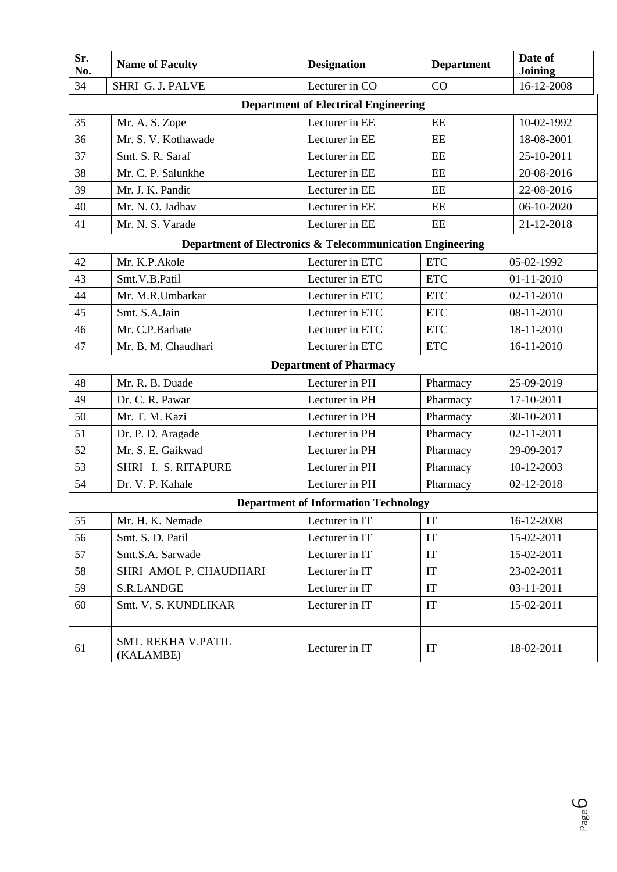| Sr.<br>No. | <b>Name of Faculty</b>                 | <b>Designation</b>                                        | <b>Department</b> | Date of<br><b>Joining</b> |  |  |  |  |  |  |
|------------|----------------------------------------|-----------------------------------------------------------|-------------------|---------------------------|--|--|--|--|--|--|
| 34         | SHRI G. J. PALVE                       | Lecturer in CO                                            | CO                | 16-12-2008                |  |  |  |  |  |  |
|            |                                        | <b>Department of Electrical Engineering</b>               |                   |                           |  |  |  |  |  |  |
| 35         | Mr. A. S. Zope                         | Lecturer in EE                                            | EE                | 10-02-1992                |  |  |  |  |  |  |
| 36         | Mr. S. V. Kothawade                    | Lecturer in EE                                            | EE                | 18-08-2001                |  |  |  |  |  |  |
| 37         | Smt. S. R. Saraf                       | Lecturer in EE                                            | EE                | 25-10-2011                |  |  |  |  |  |  |
| 38         | Mr. C. P. Salunkhe                     | Lecturer in EE                                            | $\rm{EE}$         | 20-08-2016                |  |  |  |  |  |  |
| 39         | Mr. J. K. Pandit                       | Lecturer in EE                                            | EE                | 22-08-2016                |  |  |  |  |  |  |
| 40         | Mr. N. O. Jadhav                       | Lecturer in EE                                            | EE                | 06-10-2020                |  |  |  |  |  |  |
| 41         | Mr. N. S. Varade                       | Lecturer in EE                                            | EE                | 21-12-2018                |  |  |  |  |  |  |
|            |                                        | Department of Electronics & Telecommunication Engineering |                   |                           |  |  |  |  |  |  |
| 42         | Mr. K.P.Akole                          | Lecturer in ETC                                           | <b>ETC</b>        | 05-02-1992                |  |  |  |  |  |  |
| 43         | Smt.V.B.Patil                          | Lecturer in ETC                                           | <b>ETC</b>        | $01 - 11 - 2010$          |  |  |  |  |  |  |
| 44         | Mr. M.R.Umbarkar                       | Lecturer in ETC                                           | <b>ETC</b>        | $02 - 11 - 2010$          |  |  |  |  |  |  |
| 45         | Smt. S.A.Jain                          | Lecturer in ETC                                           | <b>ETC</b>        | 08-11-2010                |  |  |  |  |  |  |
| 46         | Mr. C.P.Barhate                        | Lecturer in ETC                                           | <b>ETC</b>        | 18-11-2010                |  |  |  |  |  |  |
| 47         | Mr. B. M. Chaudhari                    | Lecturer in ETC                                           | <b>ETC</b>        | 16-11-2010                |  |  |  |  |  |  |
|            | <b>Department of Pharmacy</b>          |                                                           |                   |                           |  |  |  |  |  |  |
| 48         | Mr. R. B. Duade                        | Lecturer in PH                                            | Pharmacy          | 25-09-2019                |  |  |  |  |  |  |
| 49         | Dr. C. R. Pawar                        | Lecturer in PH                                            | Pharmacy          | 17-10-2011                |  |  |  |  |  |  |
| 50         | Mr. T. M. Kazi                         | Lecturer in PH                                            | Pharmacy          | 30-10-2011                |  |  |  |  |  |  |
| 51         | Dr. P. D. Aragade                      | Lecturer in PH                                            | Pharmacy          | 02-11-2011                |  |  |  |  |  |  |
| 52         | Mr. S. E. Gaikwad                      | Lecturer in PH                                            | Pharmacy          | 29-09-2017                |  |  |  |  |  |  |
| 53         | SHRI I. S. RITAPURE                    | Lecturer in PH                                            | Pharmacy          | 10-12-2003                |  |  |  |  |  |  |
| 54         | Dr. V. P. Kahale                       | Lecturer in PH                                            | Pharmacy          | 02-12-2018                |  |  |  |  |  |  |
|            |                                        | <b>Department of Information Technology</b>               |                   |                           |  |  |  |  |  |  |
| 55         | Mr. H. K. Nemade                       | Lecturer in IT                                            | IT                | 16-12-2008                |  |  |  |  |  |  |
| 56         | Smt. S. D. Patil                       | Lecturer in IT                                            | IT                | 15-02-2011                |  |  |  |  |  |  |
| 57         | Smt.S.A. Sarwade                       | Lecturer in IT                                            | IT                | 15-02-2011                |  |  |  |  |  |  |
| 58         | SHRI AMOL P. CHAUDHARI                 | Lecturer in IT                                            | IT                | 23-02-2011                |  |  |  |  |  |  |
| 59         | S.R.LANDGE                             | Lecturer in IT                                            | IT                | 03-11-2011                |  |  |  |  |  |  |
| 60         | Smt. V. S. KUNDLIKAR                   | Lecturer in IT                                            | IT                | 15-02-2011                |  |  |  |  |  |  |
| 61         | <b>SMT. REKHA V.PATIL</b><br>(KALAMBE) | Lecturer in IT                                            | IT                | 18-02-2011                |  |  |  |  |  |  |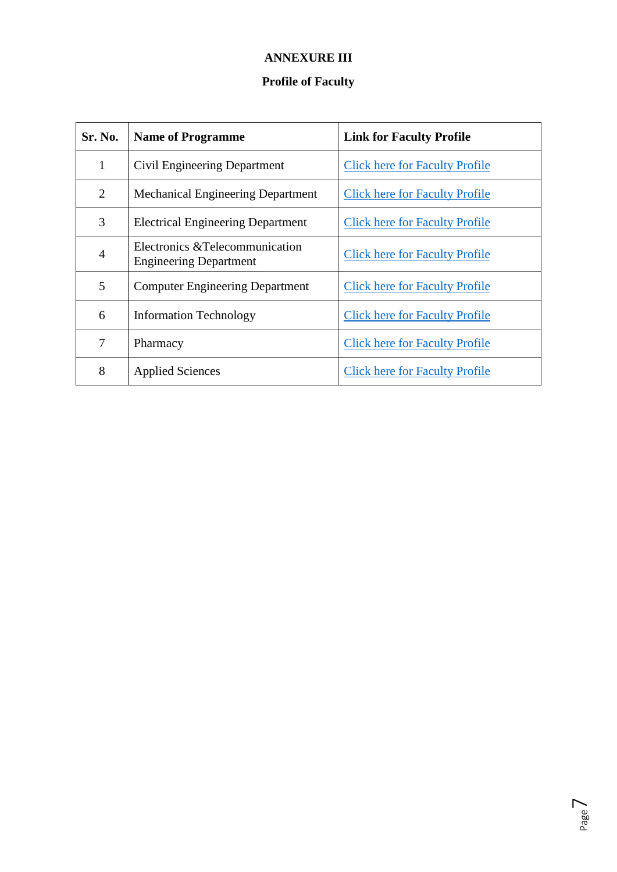# **ANNEXURE III**

# **Profile of Faculty**

<span id="page-6-0"></span>

| Sr. No.        | <b>Name of Programme</b>                                         | <b>Link for Faculty Profile</b>       |
|----------------|------------------------------------------------------------------|---------------------------------------|
| 1              | Civil Engineering Department                                     | <b>Click here for Faculty Profile</b> |
| $\overline{2}$ | <b>Mechanical Engineering Department</b>                         | <b>Click here for Faculty Profile</b> |
| 3              | <b>Electrical Engineering Department</b>                         | <b>Click here for Faculty Profile</b> |
| $\overline{4}$ | Electronics & Telecommunication<br><b>Engineering Department</b> | <b>Click here for Faculty Profile</b> |
| 5              | <b>Computer Engineering Department</b>                           | <b>Click here for Faculty Profile</b> |
| 6              | <b>Information Technology</b>                                    | <b>Click here for Faculty Profile</b> |
| 7              | Pharmacy                                                         | <b>Click here for Faculty Profile</b> |
| 8              | <b>Applied Sciences</b>                                          | <b>Click here for Faculty Profile</b> |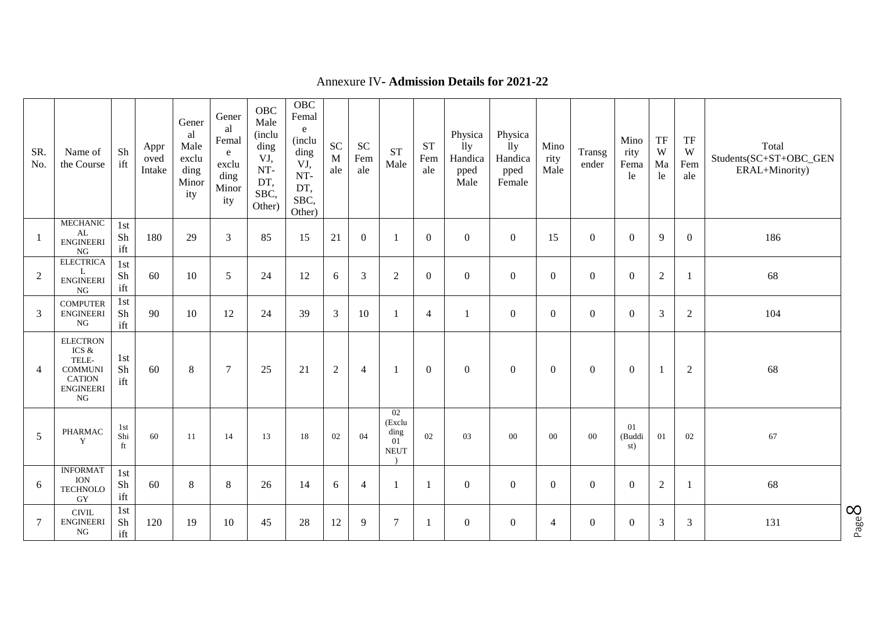| SR.<br>No.      | Name of<br>the Course                                                                             | Sh<br>ift        | Appr<br>oved<br>Intake | Gener<br>al<br>Male<br>exclu<br>ding<br>Minor<br>ity | Gener<br>al<br>Femal<br>e<br>exclu<br>ding<br>Minor<br>ity | OBC<br>Male<br>(inclu<br>ding<br>VJ,<br>NT-<br>DT,<br>SBC,<br>Other) | OBC<br>Femal<br>e<br>(inclu<br>ding<br>VJ,<br>NT-<br>DT,<br>SBC,<br>Other) | <b>SC</b><br>M<br>ale | <b>SC</b><br>Fem<br>ale | <b>ST</b><br>Male                         | <b>ST</b><br>Fem<br>ale | Physica<br>11y<br>Handica<br>pped<br>Male | Physica<br>11y<br>Handica<br>pped<br>Female | Mino<br>rity<br>Male | Transg<br>ender  | Mino<br>rity<br>Fema<br>le | TF<br>W<br>Ma<br>le | TF<br>W<br>Fem<br>ale | Total<br>Students(SC+ST+OBC_GEN<br>ERAL+Minority) |
|-----------------|---------------------------------------------------------------------------------------------------|------------------|------------------------|------------------------------------------------------|------------------------------------------------------------|----------------------------------------------------------------------|----------------------------------------------------------------------------|-----------------------|-------------------------|-------------------------------------------|-------------------------|-------------------------------------------|---------------------------------------------|----------------------|------------------|----------------------------|---------------------|-----------------------|---------------------------------------------------|
| $\Box$          | <b>MECHANIC</b><br>${\rm AL}$<br><b>ENGINEERI</b><br>NG                                           | 1st<br>Sh<br>ift | 180                    | 29                                                   | 3                                                          | 85                                                                   | 15                                                                         | 21                    | $\overline{0}$          | -1                                        | $\overline{0}$          | $\boldsymbol{0}$                          | $\boldsymbol{0}$                            | 15                   | $\mathbf{0}$     | $\mathbf{0}$               | 9                   | $\overline{0}$        | 186                                               |
| 2               | <b>ELECTRICA</b><br>L<br><b>ENGINEERI</b><br>NG                                                   | 1st<br>Sh<br>ift | 60                     | 10                                                   | 5                                                          | 24                                                                   | 12                                                                         | 6                     | $\overline{3}$          | $\overline{2}$                            | $\Omega$                | $\mathbf{0}$                              | $\overline{0}$                              | $\mathbf{0}$         | $\boldsymbol{0}$ | $\Omega$                   | $\sqrt{2}$          | -1                    | 68                                                |
| 3               | <b>COMPUTER</b><br><b>ENGINEERI</b><br>NG                                                         | 1st<br>Sh<br>ift | 90                     | 10                                                   | 12                                                         | 24                                                                   | 39                                                                         | 3                     | 10                      | J.                                        | $\overline{4}$          | 1                                         | $\overline{0}$                              | $\mathbf{0}$         | $\boldsymbol{0}$ | $\Omega$                   | $\mathfrak{Z}$      | $\mathfrak{2}$        | 104                                               |
| $\overline{4}$  | <b>ELECTRON</b><br>ICS $\&$<br>TELE-<br><b>COMMUNI</b><br><b>CATION</b><br><b>ENGINEERI</b><br>NG | 1st<br>Sh<br>ift | 60                     | $8\,$                                                | $\overline{7}$                                             | 25                                                                   | 21                                                                         | $\boldsymbol{2}$      | $\overline{4}$          | $\overline{1}$                            | $\overline{0}$          | $\boldsymbol{0}$                          | $\overline{0}$                              | $\boldsymbol{0}$     | $\boldsymbol{0}$ | $\boldsymbol{0}$           | $\mathbf{1}$        | $\boldsymbol{2}$      | 68                                                |
| 5               | PHARMAC<br>Y                                                                                      | 1st<br>Shi<br>ft | 60                     | 11                                                   | 14                                                         | 13                                                                   | 18                                                                         | 02                    | 04                      | 02<br>(Exclu<br>ding<br>01<br><b>NEUT</b> | 02                      | 03                                        | 00                                          | $00\,$               | $00\,$           | 01<br>(Buddi<br>st)        | 01                  | 02                    | 67                                                |
| 6               | <b>INFORMAT</b><br>ION<br><b>TECHNOLO</b><br>GY                                                   | 1st<br>Sh<br>ift | 60                     | $\,8\,$                                              | $\,8\,$                                                    | 26                                                                   | 14                                                                         | 6                     | $\overline{4}$          |                                           | $\mathbf{1}$            | $\boldsymbol{0}$                          | $\overline{0}$                              | $\mathbf{0}$         | $\boldsymbol{0}$ | $\mathbf{0}$               | $\sqrt{2}$          |                       | 68                                                |
| $7\phantom{.0}$ | $\text{CIVIL}$<br><b>ENGINEERI</b><br>NG                                                          | 1st<br>Sh<br>ift | 120                    | 19                                                   | 10                                                         | 45                                                                   | 28                                                                         | 12                    | 9                       | $\overline{7}$                            | $\mathbf{1}$            | $\boldsymbol{0}$                          | $\overline{0}$                              | $\overline{4}$       | $\mathbf{0}$     | $\mathbf{0}$               | 3                   | 3                     | 131                                               |

#### Annexure IV **- Admission Details for 202 1 - 2 2**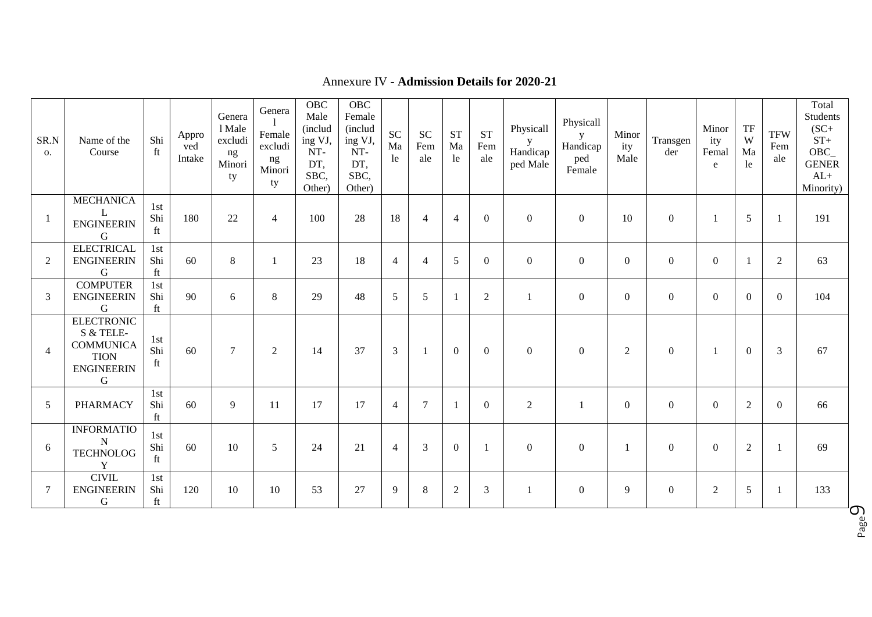<span id="page-8-1"></span><span id="page-8-0"></span>

| SR.N<br>$\mathbf{O}$ . | Name of the<br>Course                                                                       | Shi<br>ft        | Appro<br>ved<br>Intake | Genera<br>1 Male<br>excludi<br>ng<br>Minori<br>ty | Genera<br>Female<br>excludi<br>ng<br>Minori<br>ty | <b>OBC</b><br>Male<br>(includ<br>ing VJ,<br>NT-<br>DT,<br>SBC,<br>Other) | <b>OBC</b><br>Female<br>(includ<br>ing VJ,<br>NT-<br>DT,<br>SBC,<br>Other) | <b>SC</b><br>Ma<br>le | <b>SC</b><br>Fem<br>ale | <b>ST</b><br>Ma<br>le | <b>ST</b><br>Fem<br>ale | Physicall<br>y<br>Handicap<br>ped Male | Physicall<br>y<br>Handicap<br>ped<br>Female | Minor<br>ity<br>Male | Transgen<br>der | Minor<br>ity<br>Femal<br>e | TF<br>W<br>Ma<br>le | <b>TFW</b><br>Fem<br>ale | Total<br>Students<br>$(SC+$<br>$ST+$<br>OBC<br><b>GENER</b><br>$AL+$<br>Minority) |
|------------------------|---------------------------------------------------------------------------------------------|------------------|------------------------|---------------------------------------------------|---------------------------------------------------|--------------------------------------------------------------------------|----------------------------------------------------------------------------|-----------------------|-------------------------|-----------------------|-------------------------|----------------------------------------|---------------------------------------------|----------------------|-----------------|----------------------------|---------------------|--------------------------|-----------------------------------------------------------------------------------|
|                        | <b>MECHANICA</b><br>L<br><b>ENGINEERIN</b><br>G                                             | 1st<br>Shi<br>ft | 180                    | 22                                                | $\overline{4}$                                    | 100                                                                      | 28                                                                         | 18                    | $\overline{4}$          | $\overline{4}$        | $\theta$                | $\Omega$                               | $\boldsymbol{0}$                            | 10                   | $\overline{0}$  |                            | 5                   | -1                       | 191                                                                               |
| 2                      | <b>ELECTRICAL</b><br><b>ENGINEERIN</b><br>G                                                 | 1st<br>Shi<br>ft | 60                     | 8                                                 | $\mathbf{1}$                                      | 23                                                                       | 18                                                                         | $\overline{4}$        | $\overline{4}$          | 5                     | $\Omega$                | $\Omega$                               | $\theta$                                    | $\Omega$             | $\Omega$        | $\theta$                   | $\overline{1}$      | 2                        | 63                                                                                |
| 3                      | <b>COMPUTER</b><br><b>ENGINEERIN</b><br>G                                                   | 1st<br>Shi<br>ft | 90                     | 6                                                 | 8                                                 | 29                                                                       | 48                                                                         | 5                     | 5                       | $\mathbf{1}$          | $\overline{2}$          | $\mathbf{1}$                           | $\boldsymbol{0}$                            | $\Omega$             | $\overline{0}$  | $\theta$                   | $\theta$            | $\Omega$                 | 104                                                                               |
| $\overline{4}$         | <b>ELECTRONIC</b><br>S & TELE-<br><b>COMMUNICA</b><br><b>TION</b><br><b>ENGINEERIN</b><br>G | 1st<br>Shi<br>ft | 60                     | $\tau$                                            | 2                                                 | 14                                                                       | 37                                                                         | 3                     | $\overline{1}$          | $\overline{0}$        | $\theta$                | $\Omega$                               | $\mathbf{0}$                                | $\overline{2}$       | $\overline{0}$  |                            | $\theta$            | 3                        | 67                                                                                |
| 5                      | <b>PHARMACY</b>                                                                             | 1st<br>Shi<br>ft | 60                     | 9                                                 | 11                                                | 17                                                                       | 17                                                                         | $\overline{4}$        | 7                       | $\mathbf{1}$          | $\Omega$                | 2                                      | $\mathbf{1}$                                | $\theta$             | $\overline{0}$  | $\theta$                   | 2                   | $\theta$                 | 66                                                                                |
| 6                      | <b>INFORMATIO</b><br>$\mathbf N$<br><b>TECHNOLOG</b><br>Y                                   | 1st<br>Shi<br>ft | 60                     | 10                                                | $\overline{5}$                                    | 24                                                                       | 21                                                                         | $\overline{4}$        | 3                       | $\theta$              | $\overline{1}$          | $\Omega$                               | $\theta$                                    | $\overline{1}$       | $\theta$        | $\Omega$                   | 2                   | -1                       | 69                                                                                |
| 7                      | <b>CIVIL</b><br><b>ENGINEERIN</b><br>G                                                      | 1st<br>Shi<br>ft | 120                    | 10                                                | 10                                                | 53                                                                       | 27                                                                         | 9                     | 8                       | $\overline{2}$        | 3                       | $\overline{1}$                         | $\theta$                                    | 9                    | $\theta$        | $\overline{2}$             | 5                   |                          | 133<br>$\sigma$                                                                   |

### Annexure IV **- Admission Details for 2020-21**

Page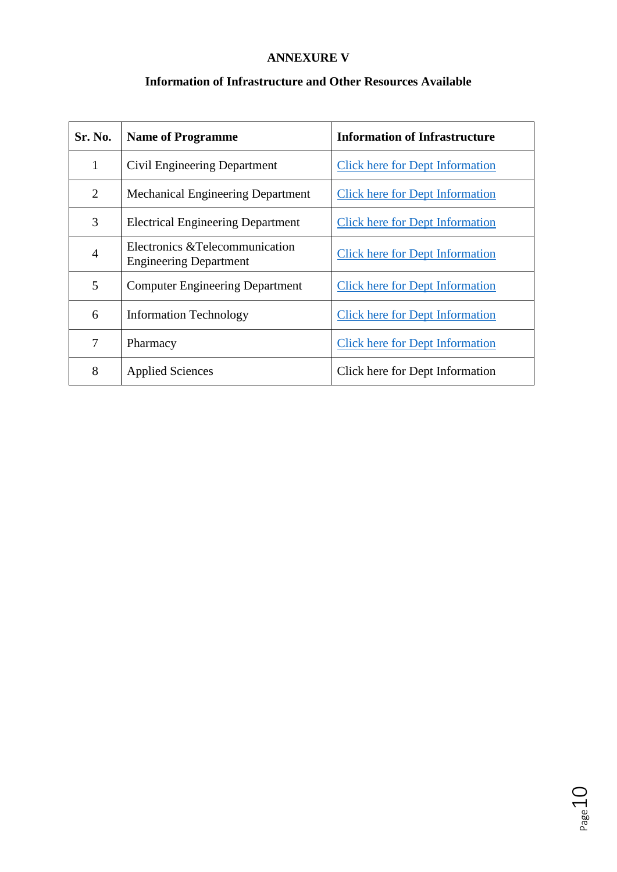### **ANNEXURE V**

### **Information of Infrastructure and Other Resources Available**

| Sr. No.        | <b>Name of Programme</b>                                         | <b>Information of Infrastructure</b>   |
|----------------|------------------------------------------------------------------|----------------------------------------|
| $\mathbf{1}$   | Civil Engineering Department                                     | <b>Click here for Dept Information</b> |
| $\overline{2}$ | <b>Mechanical Engineering Department</b>                         | <b>Click here for Dept Information</b> |
| 3              | <b>Electrical Engineering Department</b>                         | <b>Click here for Dept Information</b> |
| $\overline{4}$ | Electronics & Telecommunication<br><b>Engineering Department</b> | <b>Click here for Dept Information</b> |
| 5              | <b>Computer Engineering Department</b>                           | <b>Click here for Dept Information</b> |
| 6              | <b>Information Technology</b>                                    | <b>Click here for Dept Information</b> |
| 7              | Pharmacy                                                         | <b>Click here for Dept Information</b> |
| 8              | <b>Applied Sciences</b>                                          | Click here for Dept Information        |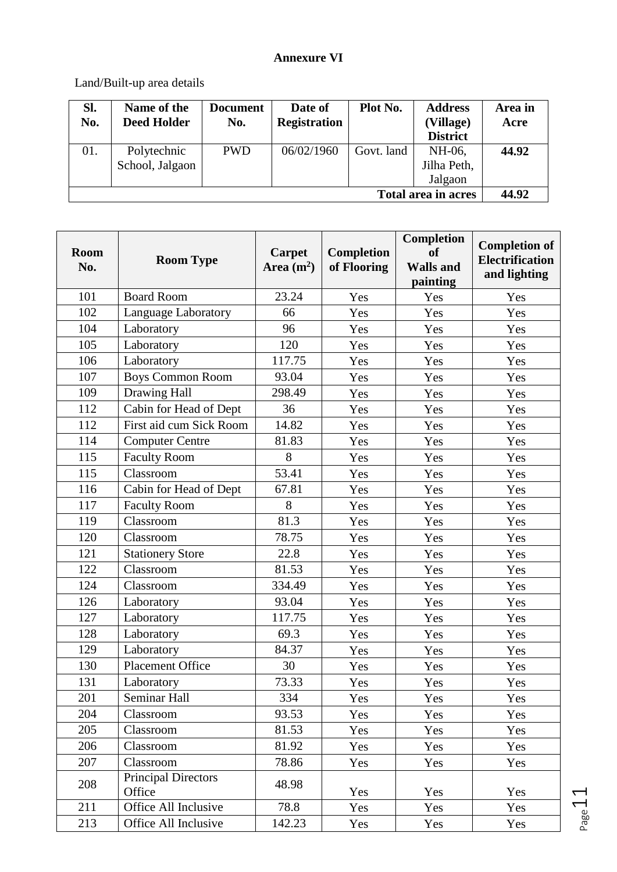# **Annexure VI**

Land/Built-up area details

| SI.                          | Name of the        | <b>Document</b> | Date of             | Plot No.   | <b>Address</b>  | Area in |  |  |  |  |
|------------------------------|--------------------|-----------------|---------------------|------------|-----------------|---------|--|--|--|--|
| No.                          | <b>Deed Holder</b> | No.             | <b>Registration</b> |            | (Village)       | Acre    |  |  |  |  |
|                              |                    |                 |                     |            | <b>District</b> |         |  |  |  |  |
| 01.                          | Polytechnic        | <b>PWD</b>      | 06/02/1960          | Govt. land | NH-06,          | 44.92   |  |  |  |  |
|                              | School, Jalgaon    |                 |                     |            | Jilha Peth,     |         |  |  |  |  |
|                              |                    |                 |                     |            | Jalgaon         |         |  |  |  |  |
| 44.92<br>Total area in acres |                    |                 |                     |            |                 |         |  |  |  |  |

| <b>Room</b><br>No. | <b>Room Type</b>                     | Carpet<br>Area $(m^2)$ | <b>Completion</b><br>of Flooring | Completion<br><b>of</b><br><b>Walls and</b><br>painting | <b>Completion of</b><br><b>Electrification</b><br>and lighting |
|--------------------|--------------------------------------|------------------------|----------------------------------|---------------------------------------------------------|----------------------------------------------------------------|
| 101                | <b>Board Room</b>                    | 23.24                  | Yes                              | Yes                                                     | Yes                                                            |
| 102                | Language Laboratory                  | 66                     | Yes                              | Yes                                                     | Yes                                                            |
| 104                | Laboratory                           | 96                     | Yes                              | Yes                                                     | Yes                                                            |
| 105                | Laboratory                           | 120                    | Yes                              | Yes                                                     | Yes                                                            |
| 106                | Laboratory                           | 117.75                 | Yes                              | Yes                                                     | Yes                                                            |
| 107                | Boys Common Room                     | 93.04                  | Yes                              | Yes                                                     | Yes                                                            |
| 109                | Drawing Hall                         | 298.49                 | Yes                              | Yes                                                     | Yes                                                            |
| 112                | Cabin for Head of Dept               | 36                     | Yes                              | Yes                                                     | Yes                                                            |
| 112                | First aid cum Sick Room              | 14.82                  | Yes                              | Yes                                                     | Yes                                                            |
| 114                | <b>Computer Centre</b>               | 81.83                  | Yes                              | Yes                                                     | Yes                                                            |
| 115                | <b>Faculty Room</b>                  | 8                      | Yes                              | Yes                                                     | Yes                                                            |
| 115                | Classroom                            | 53.41                  | Yes                              | Yes                                                     | Yes                                                            |
| 116                | Cabin for Head of Dept               | 67.81                  | Yes                              | Yes                                                     | Yes                                                            |
| 117                | <b>Faculty Room</b>                  | 8                      | Yes                              | Yes                                                     | Yes                                                            |
| 119                | Classroom                            | 81.3                   | Yes                              | Yes                                                     | Yes                                                            |
| 120                | Classroom                            | 78.75                  | Yes                              | Yes                                                     | Yes                                                            |
| 121                | <b>Stationery Store</b>              | 22.8                   | Yes                              | Yes                                                     | Yes                                                            |
| 122                | Classroom                            | 81.53                  | Yes                              | Yes                                                     | Yes                                                            |
| 124                | Classroom                            | 334.49                 | Yes                              | Yes                                                     | Yes                                                            |
| 126                | Laboratory                           | 93.04                  | Yes                              | Yes                                                     | Yes                                                            |
| 127                | Laboratory                           | 117.75                 | Yes                              | Yes                                                     | Yes                                                            |
| 128                | Laboratory                           | 69.3                   | Yes                              | Yes                                                     | Yes                                                            |
| 129                | Laboratory                           | 84.37                  | Yes                              | Yes                                                     | Yes                                                            |
| 130                | <b>Placement Office</b>              | 30                     | Yes                              | Yes                                                     | Yes                                                            |
| 131                | Laboratory                           | 73.33                  | Yes                              | Yes                                                     | Yes                                                            |
| 201                | Seminar Hall                         | 334                    | Yes                              | Yes                                                     | Yes                                                            |
| 204                | Classroom                            | 93.53                  | Yes                              | Yes                                                     | Yes                                                            |
| 205                | Classroom                            | 81.53                  | Yes                              | Yes                                                     | Yes                                                            |
| 206                | Classroom                            | 81.92                  | Yes                              | Yes                                                     | Yes                                                            |
| 207                | Classroom                            | 78.86                  | Yes                              | Yes                                                     | Yes                                                            |
| 208                | <b>Principal Directors</b><br>Office | 48.98                  | Yes                              | Yes                                                     | Yes                                                            |
| 211                | Office All Inclusive                 | 78.8                   | Yes                              | Yes                                                     | Yes                                                            |
| 213                | Office All Inclusive                 | 142.23                 | Yes                              | Yes                                                     | Yes                                                            |

Page 11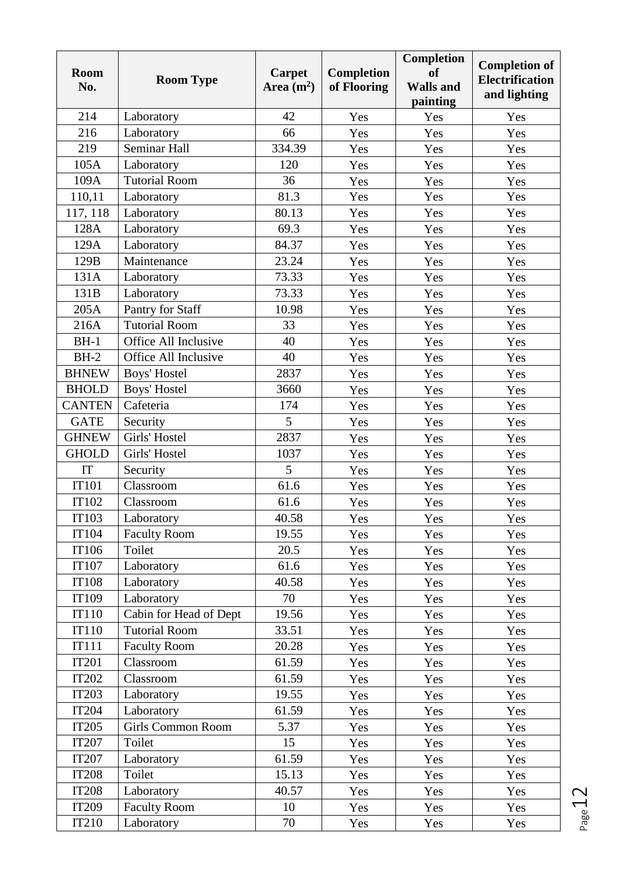| <b>Room</b><br>No. | <b>Room Type</b>         | <b>Carpet</b><br>Area $(m2)$ | Completion<br>of Flooring | Completion<br><b>of</b><br><b>Walls and</b><br>painting | <b>Completion of</b><br><b>Electrification</b><br>and lighting |  |  |
|--------------------|--------------------------|------------------------------|---------------------------|---------------------------------------------------------|----------------------------------------------------------------|--|--|
| 214                | Laboratory               | 42                           | Yes                       | Yes                                                     | Yes                                                            |  |  |
| 216                | Laboratory               | 66                           | Yes                       | Yes                                                     | Yes                                                            |  |  |
| 219                | Seminar Hall             | 334.39                       | Yes                       | Yes                                                     | Yes                                                            |  |  |
| 105A               | Laboratory               | 120                          | Yes                       | Yes                                                     | Yes                                                            |  |  |
| 109A               | <b>Tutorial Room</b>     | 36                           | Yes                       | Yes                                                     | Yes                                                            |  |  |
| 110,11             | Laboratory               | 81.3                         | Yes                       | Yes                                                     | Yes                                                            |  |  |
| 117, 118           | Laboratory               | 80.13                        | Yes                       | Yes                                                     | Yes                                                            |  |  |
| 128A               | Laboratory               | 69.3                         | Yes                       | Yes                                                     | Yes                                                            |  |  |
| 129A               | Laboratory               | 84.37                        | Yes                       | Yes                                                     | Yes                                                            |  |  |
| 129B               | Maintenance              | 23.24                        | Yes                       | Yes                                                     | Yes                                                            |  |  |
| 131A               | Laboratory               | 73.33                        | Yes                       | Yes                                                     | Yes                                                            |  |  |
| 131B               | Laboratory               | 73.33                        | Yes                       | Yes                                                     | Yes                                                            |  |  |
| 205A               | Pantry for Staff         | 10.98                        | Yes                       | Yes                                                     | Yes                                                            |  |  |
| 216A               | <b>Tutorial Room</b>     | 33                           | Yes                       | Yes                                                     | Yes                                                            |  |  |
| $BH-1$             | Office All Inclusive     | 40                           | Yes                       | Yes                                                     | Yes                                                            |  |  |
| $BH-2$             | Office All Inclusive     | 40                           | Yes                       | Yes                                                     | Yes                                                            |  |  |
| <b>BHNEW</b>       | Boys' Hostel             | 2837                         | Yes                       | Yes                                                     | Yes                                                            |  |  |
| <b>BHOLD</b>       | Boys' Hostel             | 3660                         | Yes                       | Yes                                                     | Yes                                                            |  |  |
| <b>CANTEN</b>      | Cafeteria                | 174                          | Yes                       | Yes                                                     | Yes                                                            |  |  |
| <b>GATE</b>        | Security                 | 5                            | Yes                       | Yes                                                     | Yes                                                            |  |  |
| <b>GHNEW</b>       | Girls' Hostel            | 2837                         | Yes                       | Yes                                                     | Yes                                                            |  |  |
| <b>GHOLD</b>       | Girls' Hostel            | 1037                         | Yes                       | Yes                                                     | Yes                                                            |  |  |
| IT                 | Security                 | 5                            | Yes                       | Yes                                                     | Yes                                                            |  |  |
| <b>IT101</b>       | Classroom                | 61.6                         | Yes                       | Yes                                                     | Yes                                                            |  |  |
| IT102              | Classroom                | 61.6                         | Yes                       | Yes                                                     | Yes                                                            |  |  |
| IT103              | Laboratory               | 40.58                        | Yes                       | Yes                                                     | Yes                                                            |  |  |
| <b>IT104</b>       | <b>Faculty Room</b>      | 19.55                        | Yes                       | Yes                                                     | Yes                                                            |  |  |
| IT106              | Toilet                   | 20.5                         | Yes                       | Yes                                                     | Yes                                                            |  |  |
| IT107              | Laboratory               | 61.6                         | Yes                       | Yes                                                     | Yes                                                            |  |  |
| <b>IT108</b>       | Laboratory               | 40.58                        | Yes                       | Yes                                                     | Yes                                                            |  |  |
| IT109              | Laboratory               | 70                           | Yes                       | Yes                                                     | Yes                                                            |  |  |
| <b>IT110</b>       | Cabin for Head of Dept   | 19.56                        | Yes                       | Yes                                                     | Yes                                                            |  |  |
| <b>IT110</b>       | <b>Tutorial Room</b>     | 33.51                        | Yes                       | Yes                                                     | Yes                                                            |  |  |
| <b>IT111</b>       | <b>Faculty Room</b>      | 20.28                        | Yes                       | Yes                                                     | Yes                                                            |  |  |
| <b>IT201</b>       | Classroom                | 61.59                        | Yes                       | Yes                                                     | Yes                                                            |  |  |
| <b>IT202</b>       | Classroom                | 61.59                        | Yes                       | Yes                                                     | Yes                                                            |  |  |
| <b>IT203</b>       | Laboratory               | 19.55                        | Yes                       | Yes                                                     | Yes                                                            |  |  |
| <b>IT204</b>       | Laboratory               | 61.59                        | Yes                       | Yes                                                     | Yes                                                            |  |  |
| <b>IT205</b>       | <b>Girls Common Room</b> | 5.37                         | Yes                       | Yes                                                     | Yes                                                            |  |  |
| <b>IT207</b>       | Toilet                   | 15                           | Yes                       | Yes                                                     | Yes                                                            |  |  |
| IT207              | Laboratory               | 61.59                        | Yes                       | Yes                                                     | Yes                                                            |  |  |
| <b>IT208</b>       | Toilet                   | 15.13                        | Yes                       | Yes                                                     | Yes                                                            |  |  |
| <b>IT208</b>       | Laboratory               | 40.57                        | Yes                       | Yes                                                     | Yes                                                            |  |  |
| <b>IT209</b>       | <b>Faculty Room</b>      | 10                           | Yes                       | Yes                                                     | Yes                                                            |  |  |
| IT210              | Laboratory               | 70                           | Yes                       | Yes                                                     | Yes                                                            |  |  |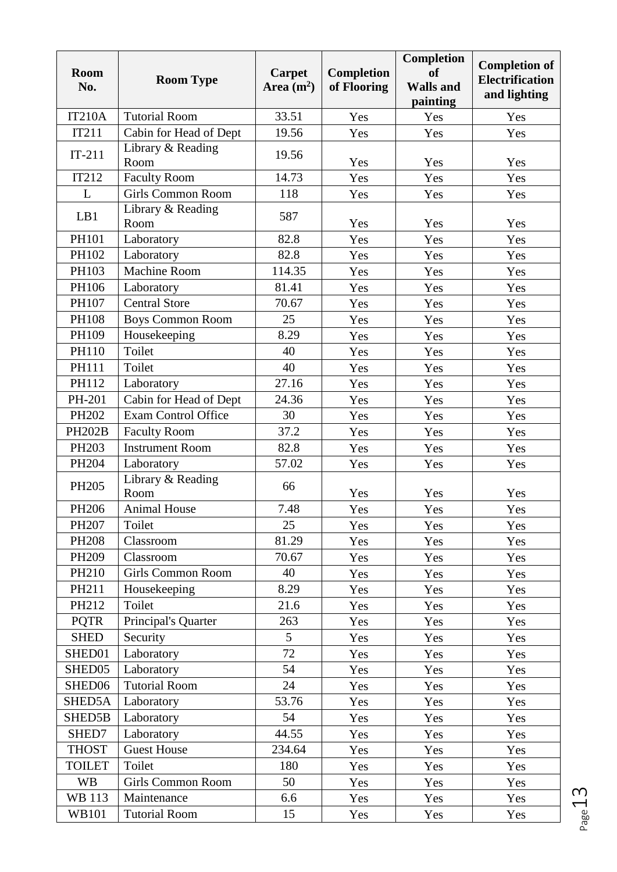| <b>Room</b><br>No. | <b>Room Type</b>           | <b>Carpet</b><br>Area $(m^2)$ | Completion<br>of Flooring | <b>Completion</b><br><b>of</b><br><b>Walls and</b><br>painting | <b>Completion of</b><br><b>Electrification</b><br>and lighting |
|--------------------|----------------------------|-------------------------------|---------------------------|----------------------------------------------------------------|----------------------------------------------------------------|
| <b>IT210A</b>      | <b>Tutorial Room</b>       | 33.51                         | Yes                       | Yes                                                            | Yes                                                            |
| IT211              | Cabin for Head of Dept     | 19.56                         | Yes                       | Yes                                                            | Yes                                                            |
| $IT-211$           | Library & Reading<br>Room  | 19.56                         | Yes                       | Yes                                                            | Yes                                                            |
| IT212              | <b>Faculty Room</b>        | 14.73                         | Yes                       | Yes                                                            | Yes                                                            |
| L                  | <b>Girls Common Room</b>   | 118                           | Yes                       | Yes                                                            | Yes                                                            |
| LB1                | Library & Reading<br>Room  | 587                           | Yes                       | Yes                                                            | Yes                                                            |
| PH101              | Laboratory                 | 82.8                          | Yes                       | Yes                                                            | Yes                                                            |
| PH102              | Laboratory                 | 82.8                          | Yes                       | Yes                                                            | Yes                                                            |
| PH103              | <b>Machine Room</b>        | 114.35                        | Yes                       | Yes                                                            | Yes                                                            |
| PH106              | Laboratory                 | 81.41                         | Yes                       | Yes                                                            | Yes                                                            |
| PH107              | <b>Central Store</b>       | 70.67                         | Yes                       | Yes                                                            | Yes                                                            |
| <b>PH108</b>       | <b>Boys Common Room</b>    | 25                            | Yes                       | Yes                                                            | Yes                                                            |
| PH109              | Housekeeping               | 8.29                          | Yes                       | Yes                                                            | Yes                                                            |
| PH110              | Toilet                     | 40                            | Yes                       | Yes                                                            | Yes                                                            |
| PH111              | Toilet                     | 40                            | Yes                       | Yes                                                            | Yes                                                            |
| PH112              | Laboratory                 | 27.16                         | Yes                       | Yes                                                            | Yes                                                            |
| PH-201             | Cabin for Head of Dept     | 24.36                         | Yes                       | Yes                                                            | Yes                                                            |
| PH202              | <b>Exam Control Office</b> | 30                            | Yes                       | Yes                                                            | Yes                                                            |
| <b>PH202B</b>      | <b>Faculty Room</b>        | 37.2                          | Yes                       | Yes                                                            | Yes                                                            |
| PH203              | <b>Instrument Room</b>     | 82.8                          | Yes                       | Yes                                                            | Yes                                                            |
| PH204              | Laboratory                 | 57.02                         | Yes                       | Yes                                                            | Yes                                                            |
| PH205              | Library & Reading<br>Room  | 66                            | Yes                       | Yes                                                            | Yes                                                            |
| PH206              | <b>Animal House</b>        | 7.48                          | Yes                       | Yes                                                            | Yes                                                            |
| PH207              | Toilet                     | 25                            | Yes                       | Yes                                                            | Yes                                                            |
| <b>PH208</b>       | Classroom                  | 81.29                         | Yes                       | Yes                                                            | Yes                                                            |
| PH209              | Classroom                  | 70.67                         | Yes                       | Yes                                                            | Yes                                                            |
| PH210              | <b>Girls Common Room</b>   | 40                            | Yes                       | Yes                                                            | Yes                                                            |
| PH211              | Housekeeping               | 8.29                          | Yes                       | Yes                                                            | Yes                                                            |
| PH212              | Toilet                     | 21.6                          | Yes                       | Yes                                                            | Yes                                                            |
| <b>PQTR</b>        | Principal's Quarter        | 263                           | Yes                       | Yes                                                            | Yes                                                            |
| <b>SHED</b>        | Security                   | 5                             | Yes                       | Yes                                                            | Yes                                                            |
| SHED01             | Laboratory                 | 72                            | Yes                       | Yes                                                            | Yes                                                            |
| SHED05             | Laboratory                 | 54                            | Yes                       | Yes                                                            | Yes                                                            |
| SHED06             | <b>Tutorial Room</b>       | 24                            | Yes                       | Yes                                                            | Yes                                                            |
| SHED5A             | Laboratory                 | 53.76                         | Yes                       | Yes                                                            | Yes                                                            |
| SHED5B             | Laboratory                 | 54                            | Yes                       | Yes                                                            | Yes                                                            |
| SHED7              | Laboratory                 | 44.55                         | Yes                       | Yes                                                            | Yes                                                            |
| <b>THOST</b>       | <b>Guest House</b>         | 234.64                        | Yes                       | Yes                                                            | Yes                                                            |
| <b>TOILET</b>      | Toilet                     | 180                           | Yes                       | Yes                                                            | Yes                                                            |
| <b>WB</b>          | <b>Girls Common Room</b>   | 50                            | Yes                       | Yes                                                            | Yes                                                            |
| <b>WB 113</b>      | Maintenance                | 6.6                           | Yes                       | Yes                                                            | Yes                                                            |
| <b>WB101</b>       | <b>Tutorial Room</b>       | 15                            | Yes                       | Yes                                                            | Yes                                                            |

Page13